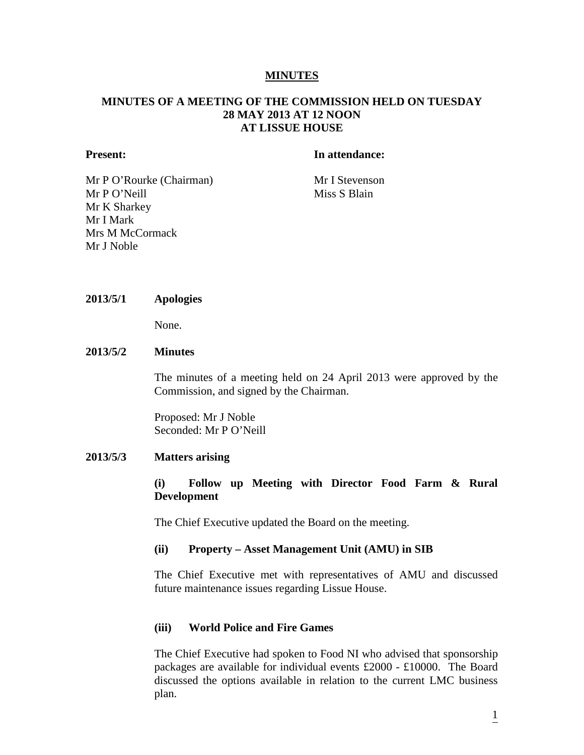# **MINUTES**

# **MINUTES OF A MEETING OF THE COMMISSION HELD ON TUESDAY 28 MAY 2013 AT 12 NOON AT LISSUE HOUSE**

#### **Present: In attendance:**

Mr P O'Rourke (Chairman) Mr I Stevenson Mr P O'Neill Miss S Blain Mr K Sharkey Mr I Mark Mrs M McCormack Mr J Noble

#### **2013/5/1 Apologies**

None.

# **2013/5/2 Minutes**

The minutes of a meeting held on 24 April 2013 were approved by the Commission, and signed by the Chairman.

Proposed: Mr J Noble Seconded: Mr P O'Neill

# **2013/5/3 Matters arising**

# **(i) Follow up Meeting with Director Food Farm & Rural Development**

The Chief Executive updated the Board on the meeting.

### **(ii) Property – Asset Management Unit (AMU) in SIB**

The Chief Executive met with representatives of AMU and discussed future maintenance issues regarding Lissue House.

### **(iii) World Police and Fire Games**

The Chief Executive had spoken to Food NI who advised that sponsorship packages are available for individual events £2000 - £10000. The Board discussed the options available in relation to the current LMC business plan.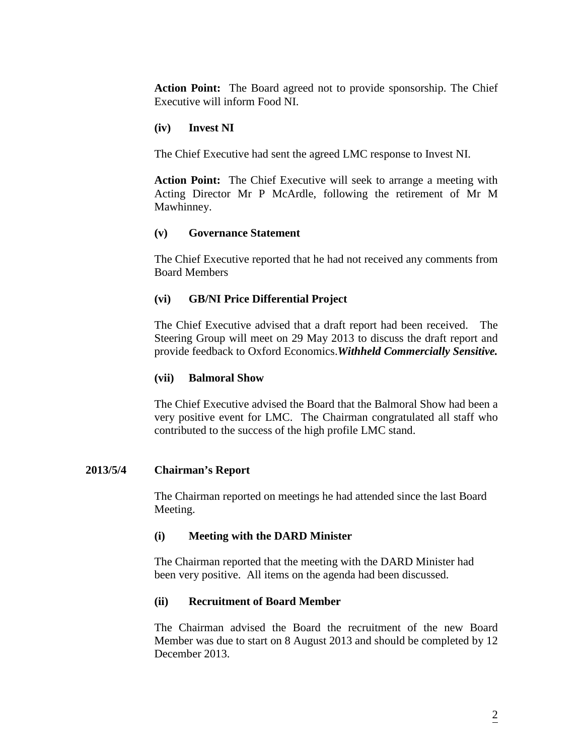**Action Point:** The Board agreed not to provide sponsorship. The Chief Executive will inform Food NI.

# **(iv) Invest NI**

The Chief Executive had sent the agreed LMC response to Invest NI.

**Action Point:** The Chief Executive will seek to arrange a meeting with Acting Director Mr P McArdle, following the retirement of Mr M Mawhinney.

# **(v) Governance Statement**

The Chief Executive reported that he had not received any comments from Board Members

# **(vi) GB/NI Price Differential Project**

The Chief Executive advised that a draft report had been received. The Steering Group will meet on 29 May 2013 to discuss the draft report and provide feedback to Oxford Economics.*Withheld Commercially Sensitive.*

### **(vii) Balmoral Show**

The Chief Executive advised the Board that the Balmoral Show had been a very positive event for LMC. The Chairman congratulated all staff who contributed to the success of the high profile LMC stand.

### **2013/5/4 Chairman's Report**

The Chairman reported on meetings he had attended since the last Board Meeting.

### **(i) Meeting with the DARD Minister**

The Chairman reported that the meeting with the DARD Minister had been very positive. All items on the agenda had been discussed.

### **(ii) Recruitment of Board Member**

The Chairman advised the Board the recruitment of the new Board Member was due to start on 8 August 2013 and should be completed by 12 December 2013.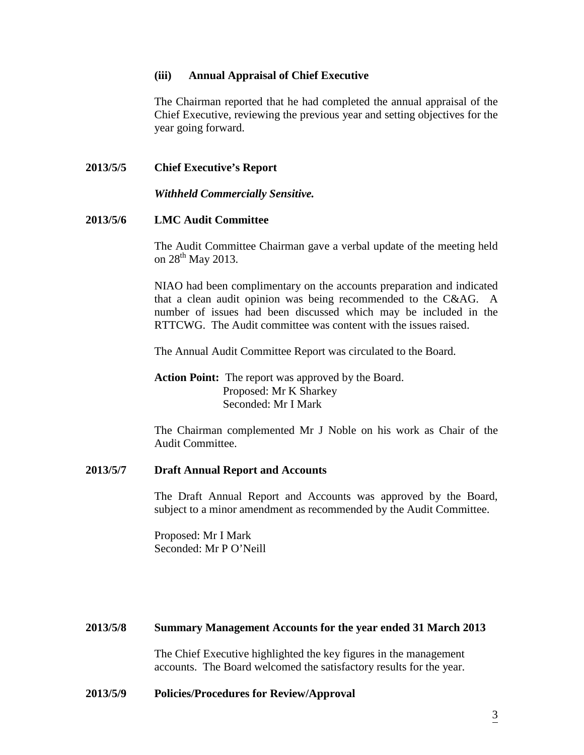### **(iii) Annual Appraisal of Chief Executive**

The Chairman reported that he had completed the annual appraisal of the Chief Executive, reviewing the previous year and setting objectives for the year going forward.

# **2013/5/5 Chief Executive's Report**

*Withheld Commercially Sensitive.*

# **2013/5/6 LMC Audit Committee**

The Audit Committee Chairman gave a verbal update of the meeting held on  $28^{th}$  May 2013.

NIAO had been complimentary on the accounts preparation and indicated that a clean audit opinion was being recommended to the C&AG. A number of issues had been discussed which may be included in the RTTCWG. The Audit committee was content with the issues raised.

The Annual Audit Committee Report was circulated to the Board.

**Action Point:** The report was approved by the Board. Proposed: Mr K Sharkey Seconded: Mr I Mark

The Chairman complemented Mr J Noble on his work as Chair of the Audit Committee.

#### **2013/5/7 Draft Annual Report and Accounts**

The Draft Annual Report and Accounts was approved by the Board, subject to a minor amendment as recommended by the Audit Committee.

Proposed: Mr I Mark Seconded: Mr P O'Neill

#### **2013/5/8 Summary Management Accounts for the year ended 31 March 2013**

The Chief Executive highlighted the key figures in the management accounts. The Board welcomed the satisfactory results for the year.

#### **2013/5/9 Policies/Procedures for Review/Approval**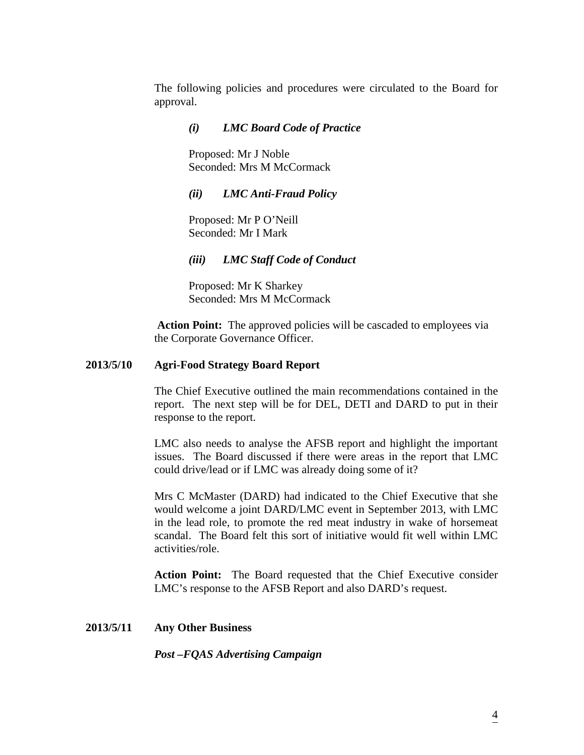The following policies and procedures were circulated to the Board for approval.

### *(i) LMC Board Code of Practice*

Proposed: Mr J Noble Seconded: Mrs M McCormack

# *(ii) LMC Anti-Fraud Policy*

Proposed: Mr P O'Neill Seconded: Mr I Mark

*(iii) LMC Staff Code of Conduct*

Proposed: Mr K Sharkey Seconded: Mrs M McCormack

**Action Point:** The approved policies will be cascaded to employees via the Corporate Governance Officer.

# **2013/5/10 Agri-Food Strategy Board Report**

The Chief Executive outlined the main recommendations contained in the report. The next step will be for DEL, DETI and DARD to put in their response to the report.

LMC also needs to analyse the AFSB report and highlight the important issues. The Board discussed if there were areas in the report that LMC could drive/lead or if LMC was already doing some of it?

Mrs C McMaster (DARD) had indicated to the Chief Executive that she would welcome a joint DARD/LMC event in September 2013, with LMC in the lead role, to promote the red meat industry in wake of horsemeat scandal. The Board felt this sort of initiative would fit well within LMC activities/role.

**Action Point:** The Board requested that the Chief Executive consider LMC's response to the AFSB Report and also DARD's request.

### **2013/5/11 Any Other Business**

*Post –FQAS Advertising Campaign*